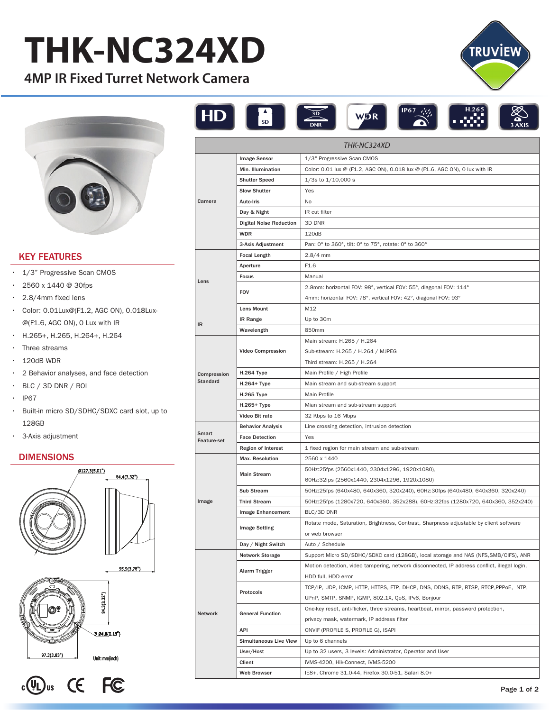# **THK-NC324XD**

**4MP IR Fixed Turret Network Camera** 



## KEY FEATURES

- 1/3" Progressive Scan CMOS
- $\cdot$  2560 x 1440 @ 30fps
- 2.8/4mm fixed lens
- Color: 0.01Lux@(F1.2, AGC ON), 0.018Lux- @(F1.6, AGC ON), 0 Lux with IR
- H.265+, H.265, H.264+, H.264 •
- Three streams
- 120dB WDR •
- 2 Behavior analyses, and face detection •
- $\cdot$  BLC / 3D DNR / ROI
- IP67
- Built-in micro SD/SDHC/SDXC card slot, up to 128GB
- 3-Axis adjustment •

### DIMENSIONS





| <b>THK-NC324XD</b>             |                                |                                                                                              |
|--------------------------------|--------------------------------|----------------------------------------------------------------------------------------------|
| Camera                         | <b>Image Sensor</b>            | 1/3" Progressive Scan CMOS                                                                   |
|                                | Min. Illumination              | Color: 0.01 lux @ (F1.2, AGC ON), 0.018 lux @ (F1.6, AGC ON), 0 lux with IR                  |
|                                | <b>Shutter Speed</b>           | $1/3s$ to $1/10,000 s$                                                                       |
|                                | <b>Slow Shutter</b>            | Yes                                                                                          |
|                                | <b>Auto-Iris</b>               | No                                                                                           |
|                                | Day & Night                    | IR cut filter                                                                                |
|                                | <b>Digital Noise Reduction</b> | 3D DNR                                                                                       |
|                                | <b>WDR</b>                     | 120dB                                                                                        |
|                                | 3-Axis Adjustment              | Pan: 0° to 360°, tilt: 0° to 75°, rotate: 0° to 360°                                         |
| Lens                           | <b>Focal Length</b>            | $2.8/4$ mm                                                                                   |
|                                | Aperture                       | F1.6                                                                                         |
|                                | Focus                          | Manual                                                                                       |
|                                | <b>FOV</b>                     | 2.8mm: horizontal FOV: 98°, vertical FOV: 55°, diagonal FOV: 114°                            |
|                                |                                | 4mm: horizontal FOV: 78°, vertical FOV: 42°, diagonal FOV: 93°                               |
|                                | Lens Mount                     | M12                                                                                          |
| IR                             | <b>IR Range</b>                | Up to 30m                                                                                    |
|                                | Wavelength                     | 850mm                                                                                        |
| Compression<br><b>Standard</b> | <b>Video Compression</b>       | Main stream: H.265 / H.264                                                                   |
|                                |                                | Sub-stream: H.265 / H.264 / MJPEG                                                            |
|                                |                                | Third stream: H.265 / H.264                                                                  |
|                                | H.264 Type                     | Main Profile / High Profile                                                                  |
|                                | H.264+ Type                    | Main stream and sub-stream support                                                           |
|                                | H.265 Type                     | Main Profile                                                                                 |
|                                | $H.265+Type$                   | Mian stream and sub-stream support                                                           |
|                                | Video Bit rate                 | 32 Kbps to 16 Mbps                                                                           |
| Smart<br><b>Feature-set</b>    | <b>Behavior Analysis</b>       | Line crossing detection, intrusion detection                                                 |
|                                | <b>Face Detection</b>          | Yes                                                                                          |
|                                | <b>Region of Interest</b>      | 1 fixed region for main stream and sub-stream                                                |
| Image                          | <b>Max. Resolution</b>         | 2560 x 1440                                                                                  |
|                                | <b>Main Stream</b>             | 50Hz:25fps (2560x1440, 2304x1296, 1920x1080),                                                |
|                                |                                | 60Hz:32fps (2560x1440, 2304x1296, 1920x1080)                                                 |
|                                | <b>Sub Stream</b>              | 50Hz:25fps (640x480, 640x360, 320x240), 60Hz:30fps (640x480, 640x360, 320x240)               |
|                                | <b>Third Stream</b>            | 50Hz:25fps (1280x720, 640x360, 352x288), 60Hz:32fps (1280x720, 640x360, 352x240)             |
|                                | Image Enhancement              | BLC/3D DNR                                                                                   |
|                                | <b>Image Setting</b>           | Rotate mode, Saturation, Brightness, Contrast, Sharpness adjustable by client software       |
|                                |                                | or web browser                                                                               |
|                                | Day / Night Switch             | Auto / Schedule                                                                              |
| <b>Network</b>                 | <b>Network Storage</b>         | Support Micro SD/SDHC/SDXC card (128GB), local storage and NAS (NFS, SMB/CIFS), ANR          |
|                                | Alarm Trigger                  | Motion detection, video tampering, network disconnected, IP address conflict, illegal login, |
|                                |                                | HDD full, HDD error                                                                          |
|                                | Protocols                      | TCP/IP, UDP, ICMP, HTTP, HTTPS, FTP, DHCP, DNS, DDNS, RTP, RTSP, RTCP, PPPoE, NTP,           |
|                                |                                | UPnP, SMTP, SNMP, IGMP, 802.1X, QoS, IPv6, Bonjour                                           |
|                                | <b>General Function</b>        | One-key reset, anti-flicker, three streams, heartbeat, mirror, password protection,          |
|                                |                                | privacy mask, watermark, IP address filter                                                   |
|                                | API                            | ONVIF (PROFILE S, PROFILE G), ISAPI                                                          |
|                                | <b>Simultaneous Live View</b>  | Up to 6 channels                                                                             |
|                                | User/Host                      | Up to 32 users, 3 levels: Administrator, Operator and User                                   |
|                                | Client                         | iVMS-4200, Hik-Connect, iVMS-5200                                                            |
|                                | <b>Web Browser</b>             | IE8+, Chrome 31.0-44, Firefox 30.0-51, Safari 8.0+                                           |